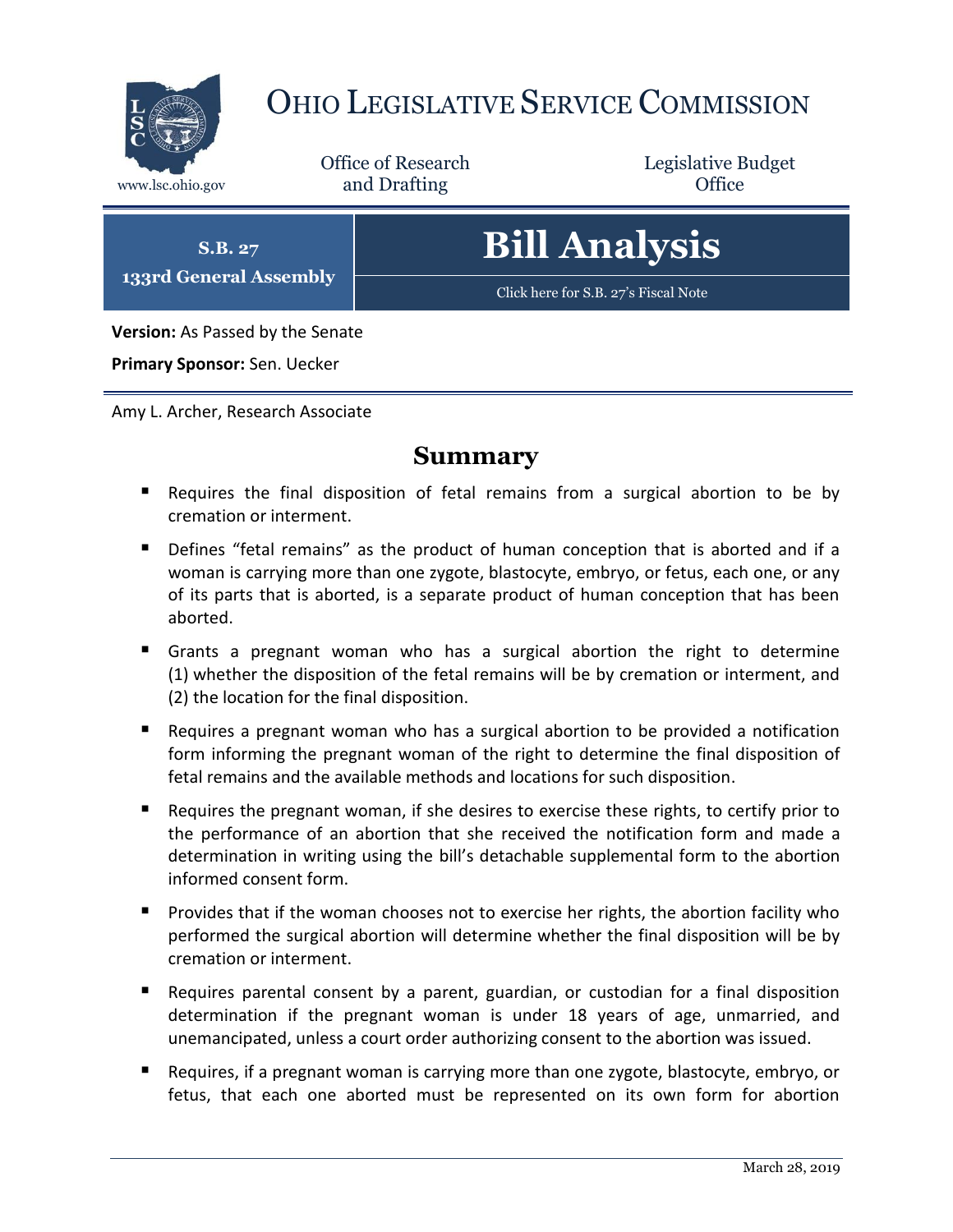

# OHIO LEGISLATIVE SERVICE COMMISSION

Office of Research www.lsc.ohio.gov and Drafting Control Control of Control Control Office

Legislative Budget

**S.B. 27 133rd General Assembly** **Bill Analysis**

[Click here for S.B. 27](https://www.legislature.ohio.gov/legislation/legislation-documents?id=GA133-SB-27)'s Fiscal Note

**Version:** As Passed by the Senate

**Primary Sponsor:** Sen. Uecker

Amy L. Archer, Research Associate

## **Summary**

- Requires the final disposition of fetal remains from a surgical abortion to be by cremation or interment.
- Defines "fetal remains" as the product of human conception that is aborted and if a woman is carrying more than one zygote, blastocyte, embryo, or fetus, each one, or any of its parts that is aborted, is a separate product of human conception that has been aborted.
- Grants a pregnant woman who has a surgical abortion the right to determine (1) whether the disposition of the fetal remains will be by cremation or interment, and (2) the location for the final disposition.
- Requires a pregnant woman who has a surgical abortion to be provided a notification form informing the pregnant woman of the right to determine the final disposition of fetal remains and the available methods and locations for such disposition.
- Requires the pregnant woman, if she desires to exercise these rights, to certify prior to the performance of an abortion that she received the notification form and made a determination in writing using the bill's detachable supplemental form to the abortion informed consent form.
- **Provides that if the woman chooses not to exercise her rights, the abortion facility who** performed the surgical abortion will determine whether the final disposition will be by cremation or interment.
- Requires parental consent by a parent, guardian, or custodian for a final disposition determination if the pregnant woman is under 18 years of age, unmarried, and unemancipated, unless a court order authorizing consent to the abortion was issued.
- **Requires, if a pregnant woman is carrying more than one zygote, blastocyte, embryo, or** fetus, that each one aborted must be represented on its own form for abortion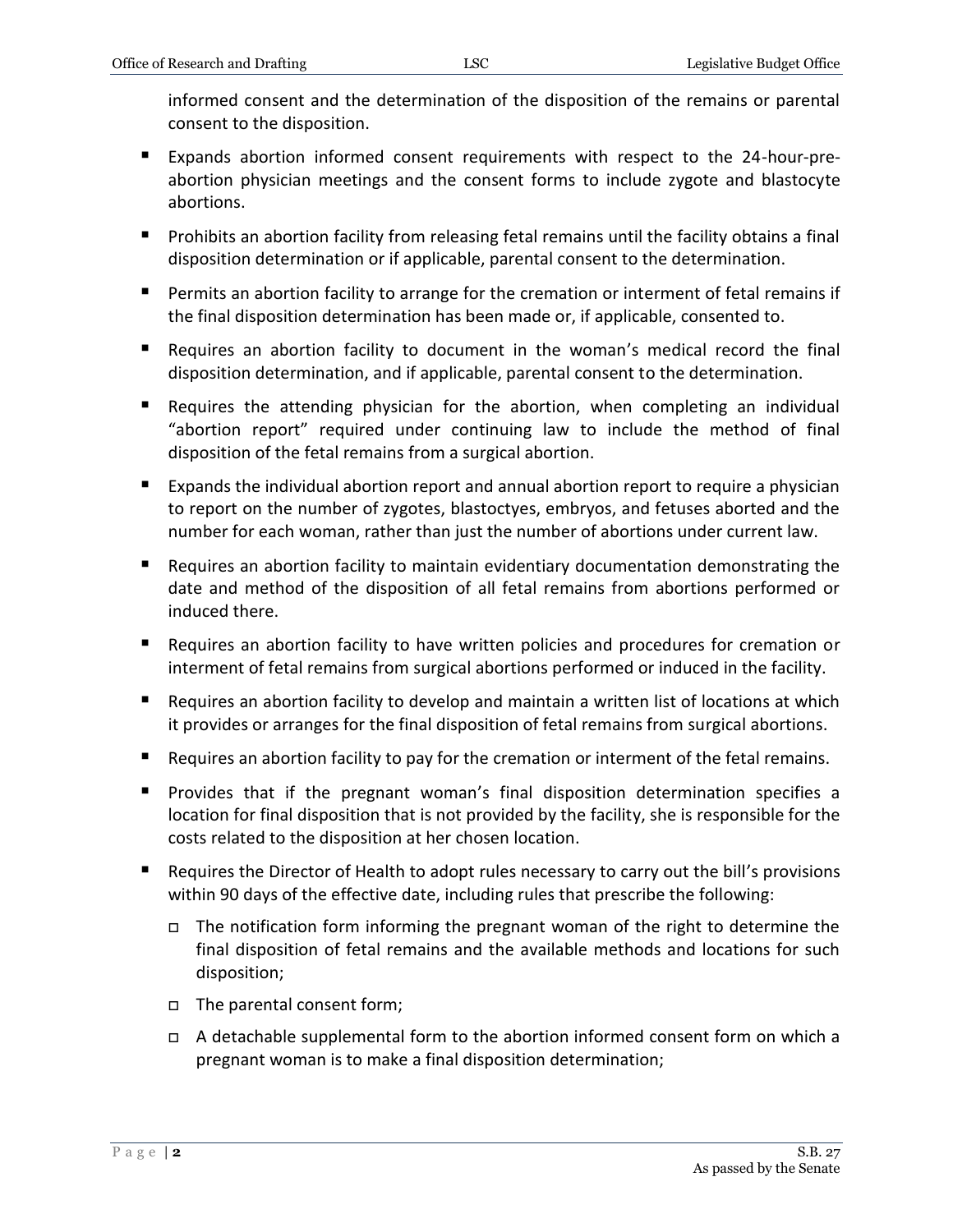informed consent and the determination of the disposition of the remains or parental consent to the disposition.

- Expands abortion informed consent requirements with respect to the 24-hour-preabortion physician meetings and the consent forms to include zygote and blastocyte abortions.
- **Prohibits an abortion facility from releasing fetal remains until the facility obtains a final** disposition determination or if applicable, parental consent to the determination.
- Permits an abortion facility to arrange for the cremation or interment of fetal remains if the final disposition determination has been made or, if applicable, consented to.
- Requires an abortion facility to document in the woman's medical record the final disposition determination, and if applicable, parental consent to the determination.
- Requires the attending physician for the abortion, when completing an individual "abortion report" required under continuing law to include the method of final disposition of the fetal remains from a surgical abortion.
- Expands the individual abortion report and annual abortion report to require a physician to report on the number of zygotes, blastoctyes, embryos, and fetuses aborted and the number for each woman, rather than just the number of abortions under current law.
- Requires an abortion facility to maintain evidentiary documentation demonstrating the date and method of the disposition of all fetal remains from abortions performed or induced there.
- **E** Requires an abortion facility to have written policies and procedures for cremation or interment of fetal remains from surgical abortions performed or induced in the facility.
- Requires an abortion facility to develop and maintain a written list of locations at which it provides or arranges for the final disposition of fetal remains from surgical abortions.
- Requires an abortion facility to pay for the cremation or interment of the fetal remains.
- **Provides that if the pregnant woman's final disposition determination specifies a** location for final disposition that is not provided by the facility, she is responsible for the costs related to the disposition at her chosen location.
- Requires the Director of Health to adopt rules necessary to carry out the bill's provisions within 90 days of the effective date, including rules that prescribe the following:
	- $\Box$  The notification form informing the pregnant woman of the right to determine the final disposition of fetal remains and the available methods and locations for such disposition;
	- The parental consent form;
	- $\Box$  A detachable supplemental form to the abortion informed consent form on which a pregnant woman is to make a final disposition determination;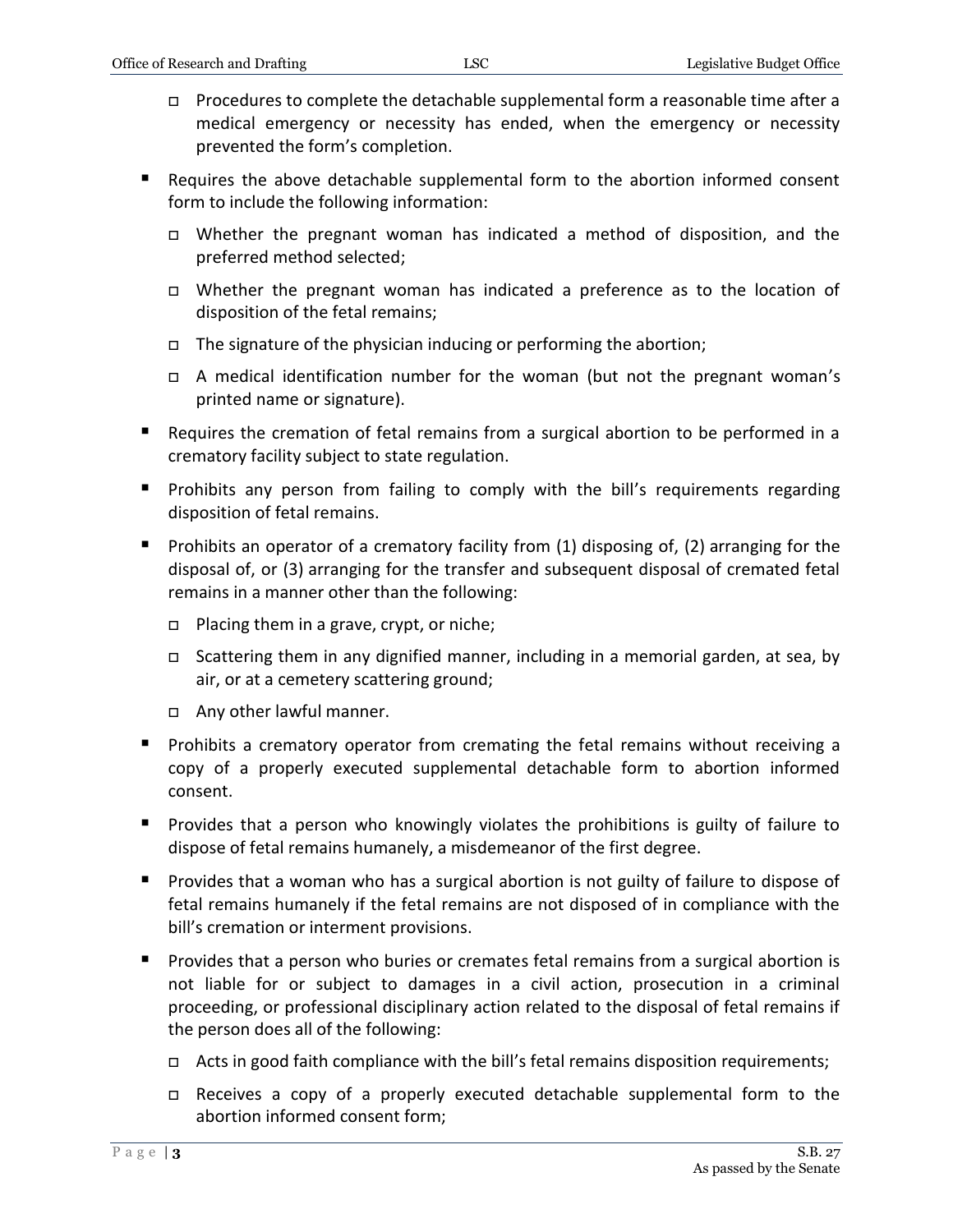- Procedures to complete the detachable supplemental form a reasonable time after a medical emergency or necessity has ended, when the emergency or necessity prevented the form's completion.
- Requires the above detachable supplemental form to the abortion informed consent form to include the following information:
	- Whether the pregnant woman has indicated a method of disposition, and the preferred method selected;
	- Whether the pregnant woman has indicated a preference as to the location of disposition of the fetal remains;
	- $\Box$  The signature of the physician inducing or performing the abortion;
	- A medical identification number for the woman (but not the pregnant woman's printed name or signature).
- Requires the cremation of fetal remains from a surgical abortion to be performed in a crematory facility subject to state regulation.
- **Prohibits any person from failing to comply with the bill's requirements regarding** disposition of fetal remains.
- Prohibits an operator of a crematory facility from  $(1)$  disposing of,  $(2)$  arranging for the disposal of, or (3) arranging for the transfer and subsequent disposal of cremated fetal remains in a manner other than the following:
	- □ Placing them in a grave, crypt, or niche;
	- Scattering them in any dignified manner, including in a memorial garden, at sea, by air, or at a cemetery scattering ground;
	- Any other lawful manner.
- **Prohibits a crematory operator from cremating the fetal remains without receiving a** copy of a properly executed supplemental detachable form to abortion informed consent.
- Provides that a person who knowingly violates the prohibitions is guilty of failure to dispose of fetal remains humanely, a misdemeanor of the first degree.
- **Provides that a woman who has a surgical abortion is not guilty of failure to dispose of** fetal remains humanely if the fetal remains are not disposed of in compliance with the bill's cremation or interment provisions.
- **Provides that a person who buries or cremates fetal remains from a surgical abortion is** not liable for or subject to damages in a civil action, prosecution in a criminal proceeding, or professional disciplinary action related to the disposal of fetal remains if the person does all of the following:
	- $\Box$  Acts in good faith compliance with the bill's fetal remains disposition requirements;
	- Receives a copy of a properly executed detachable supplemental form to the abortion informed consent form;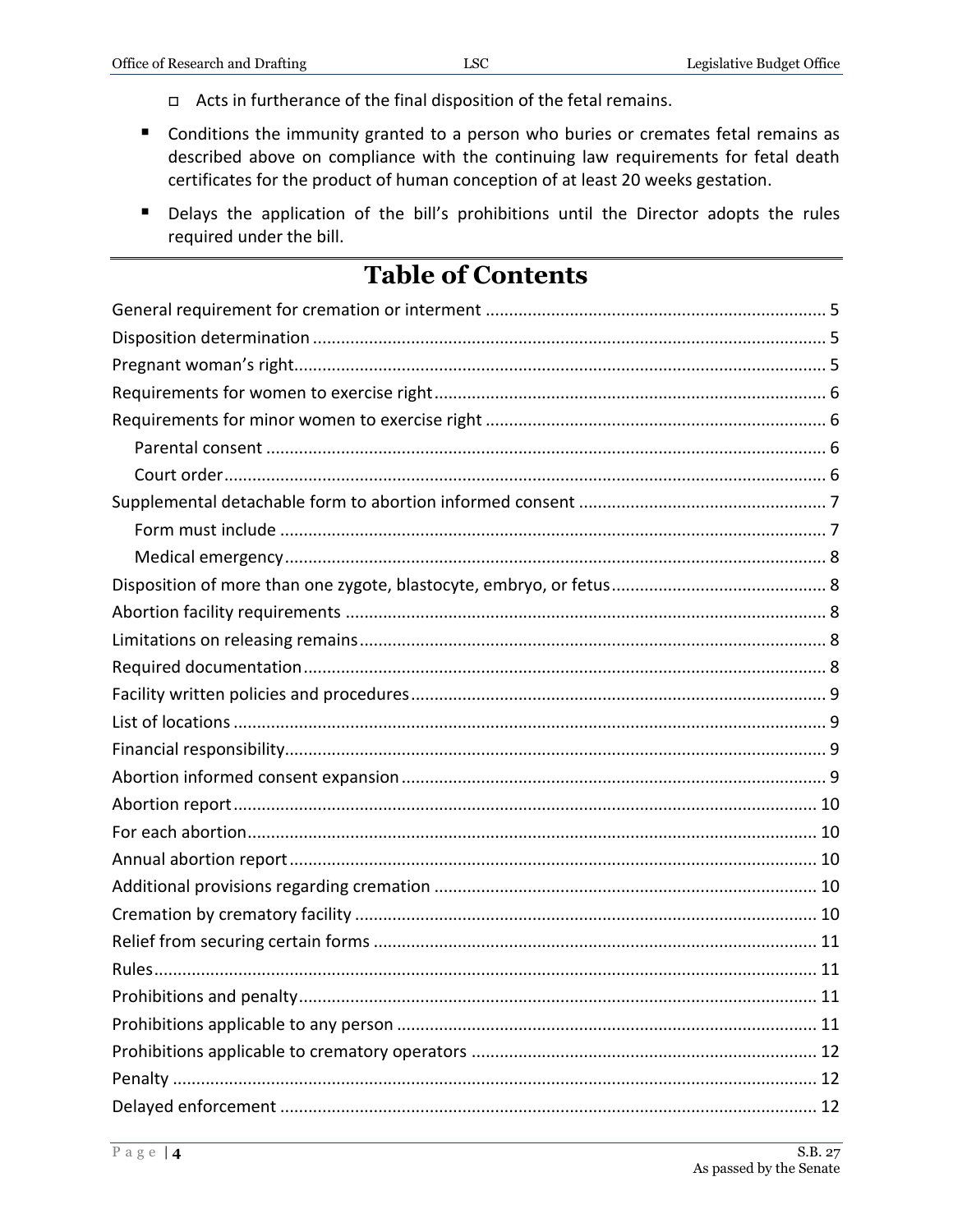- n Acts in furtherance of the final disposition of the fetal remains.
- Conditions the immunity granted to a person who buries or cremates fetal remains as described above on compliance with the continuing law requirements for fetal death certificates for the product of human conception of at least 20 weeks gestation.
- Delays the application of the bill's prohibitions until the Director adopts the rules required under the bill.

## **Table of Contents**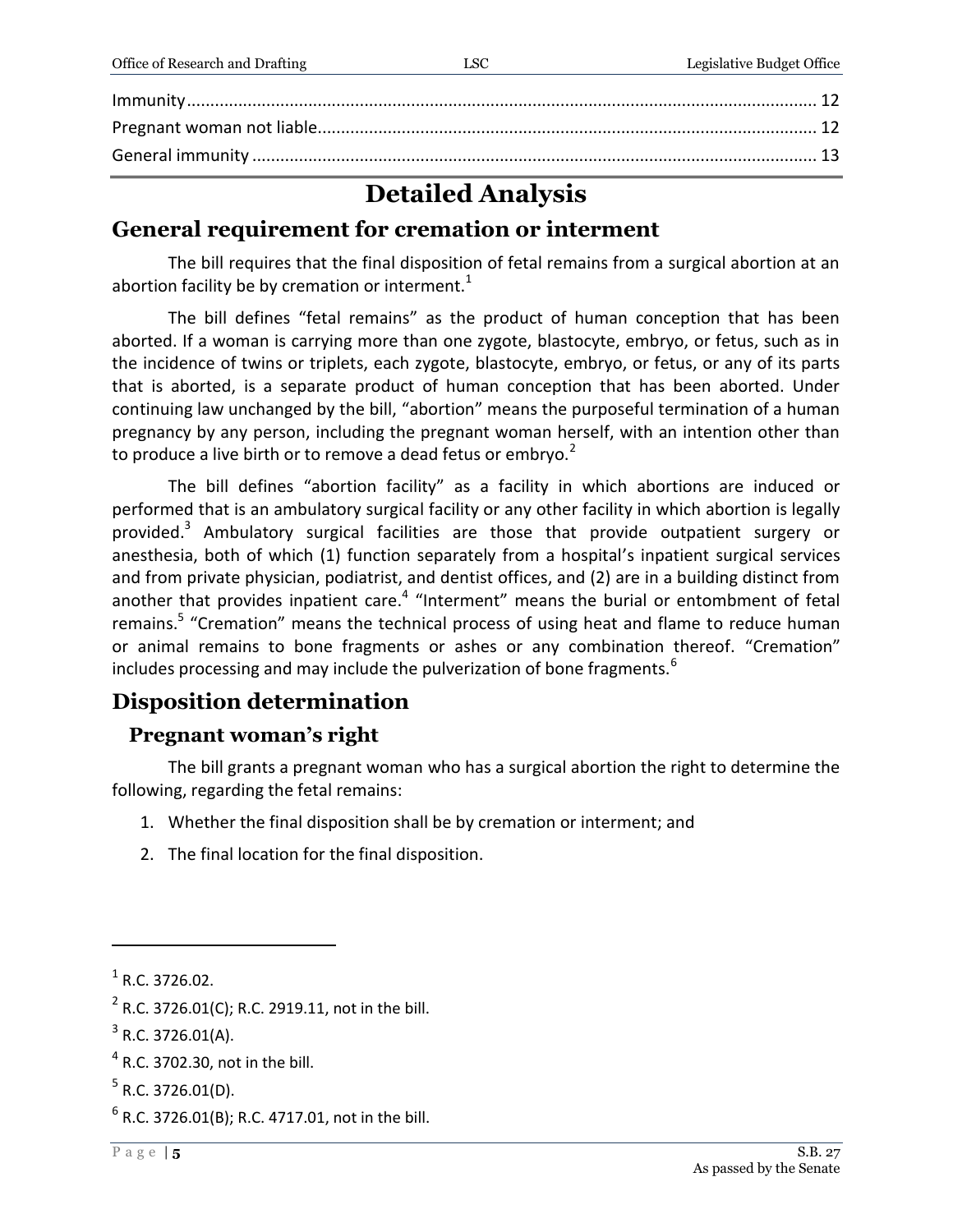## **Detailed Analysis**

## <span id="page-4-0"></span>**General requirement for cremation or interment**

The bill requires that the final disposition of fetal remains from a surgical abortion at an abortion facility be by cremation or interment. $1$ 

The bill defines "fetal remains" as the product of human conception that has been aborted. If a woman is carrying more than one zygote, blastocyte, embryo, or fetus, such as in the incidence of twins or triplets, each zygote, blastocyte, embryo, or fetus, or any of its parts that is aborted, is a separate product of human conception that has been aborted. Under continuing law unchanged by the bill, "abortion" means the purposeful termination of a human pregnancy by any person, including the pregnant woman herself, with an intention other than to produce a live birth or to remove a dead fetus or embrvo. $2$ 

The bill defines "abortion facility" as a facility in which abortions are induced or performed that is an ambulatory surgical facility or any other facility in which abortion is legally provided.<sup>3</sup> Ambulatory surgical facilities are those that provide outpatient surgery or anesthesia, both of which (1) function separately from a hospital's inpatient surgical services and from private physician, podiatrist, and dentist offices, and (2) are in a building distinct from another that provides inpatient care.<sup>4</sup> "Interment" means the burial or entombment of fetal remains.<sup>5</sup> "Cremation" means the technical process of using heat and flame to reduce human or animal remains to bone fragments or ashes or any combination thereof. "Cremation" includes processing and may include the pulverization of bone fragments. $6$ 

## <span id="page-4-1"></span>**Disposition determination**

### <span id="page-4-2"></span>**Pregnant woman's right**

The bill grants a pregnant woman who has a surgical abortion the right to determine the following, regarding the fetal remains:

- 1. Whether the final disposition shall be by cremation or interment; and
- 2. The final location for the final disposition.

 $<sup>1</sup>$  R.C. 3726.02.</sup>

 $2^2$  R.C. 3726.01(C); R.C. 2919.11, not in the bill.

 $3$  R.C. 3726.01(A).

 $^4$  R.C. 3702.30, not in the bill.

 $5$  R.C. 3726.01(D).

 $^6$  R.C. 3726.01(B); R.C. 4717.01, not in the bill.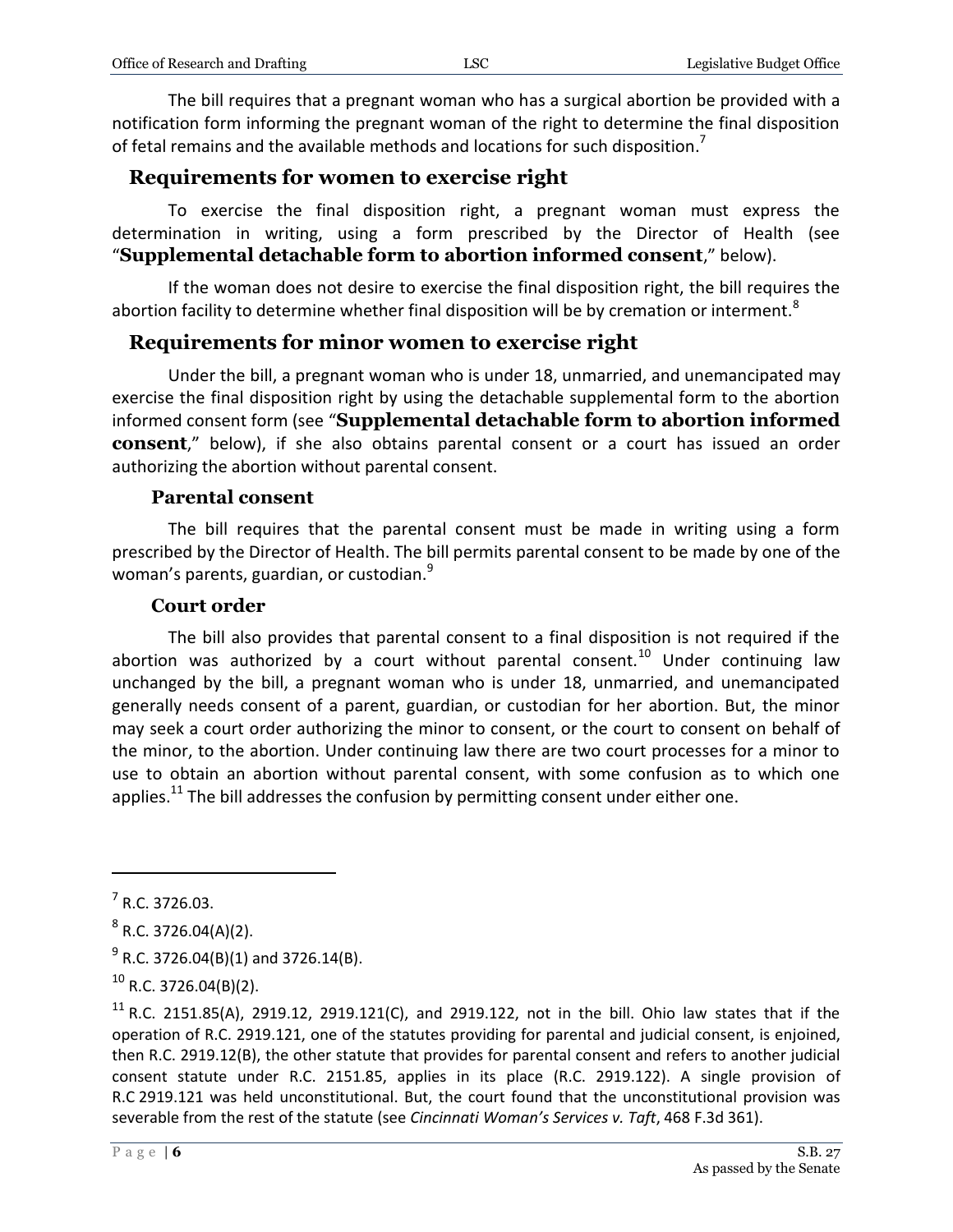The bill requires that a pregnant woman who has a surgical abortion be provided with a notification form informing the pregnant woman of the right to determine the final disposition of fetal remains and the available methods and locations for such disposition.<sup>7</sup>

#### <span id="page-5-0"></span>**Requirements for women to exercise right**

To exercise the final disposition right, a pregnant woman must express the determination in writing, using a form prescribed by the Director of Health (see "**Supplemental detachable form to abortion informed consent**," below).

If the woman does not desire to exercise the final disposition right, the bill requires the abortion facility to determine whether final disposition will be by cremation or interment.<sup>8</sup>

#### <span id="page-5-1"></span>**Requirements for minor women to exercise right**

Under the bill, a pregnant woman who is under 18, unmarried, and unemancipated may exercise the final disposition right by using the detachable supplemental form to the abortion informed consent form (see "**Supplemental detachable form to abortion informed consent**," below), if she also obtains parental consent or a court has issued an order authorizing the abortion without parental consent.

#### **Parental consent**

<span id="page-5-2"></span>The bill requires that the parental consent must be made in writing using a form prescribed by the Director of Health. The bill permits parental consent to be made by one of the woman's parents, guardian, or custodian.<sup>9</sup>

#### **Court order**

<span id="page-5-3"></span>The bill also provides that parental consent to a final disposition is not required if the abortion was authorized by a court without parental consent.<sup>10</sup> Under continuing law unchanged by the bill, a pregnant woman who is under 18, unmarried, and unemancipated generally needs consent of a parent, guardian, or custodian for her abortion. But, the minor may seek a court order authorizing the minor to consent, or the court to consent on behalf of the minor, to the abortion. Under continuing law there are two court processes for a minor to use to obtain an abortion without parental consent, with some confusion as to which one applies.<sup>11</sup> The bill addresses the confusion by permitting consent under either one.

 $<sup>7</sup>$  R.C. 3726.03.</sup>

 $8$  R.C. 3726.04(A)(2).

 $^{9}$  R.C. 3726.04(B)(1) and 3726.14(B).

 $^{10}$  R.C. 3726.04(B)(2).

<sup>&</sup>lt;sup>11</sup> R.C. 2151.85(A), 2919.12, 2919.121(C), and 2919.122, not in the bill. Ohio law states that if the operation of R.C. 2919.121, one of the statutes providing for parental and judicial consent, is enjoined, then R.C. 2919.12(B), the other statute that provides for parental consent and refers to another judicial consent statute under R.C. 2151.85, applies in its place (R.C. 2919.122). A single provision of R.C 2919.121 was held unconstitutional. But, the court found that the unconstitutional provision was severable from the rest of the statute (see *Cincinnati Woman's Services v. Taft*, 468 F.3d 361).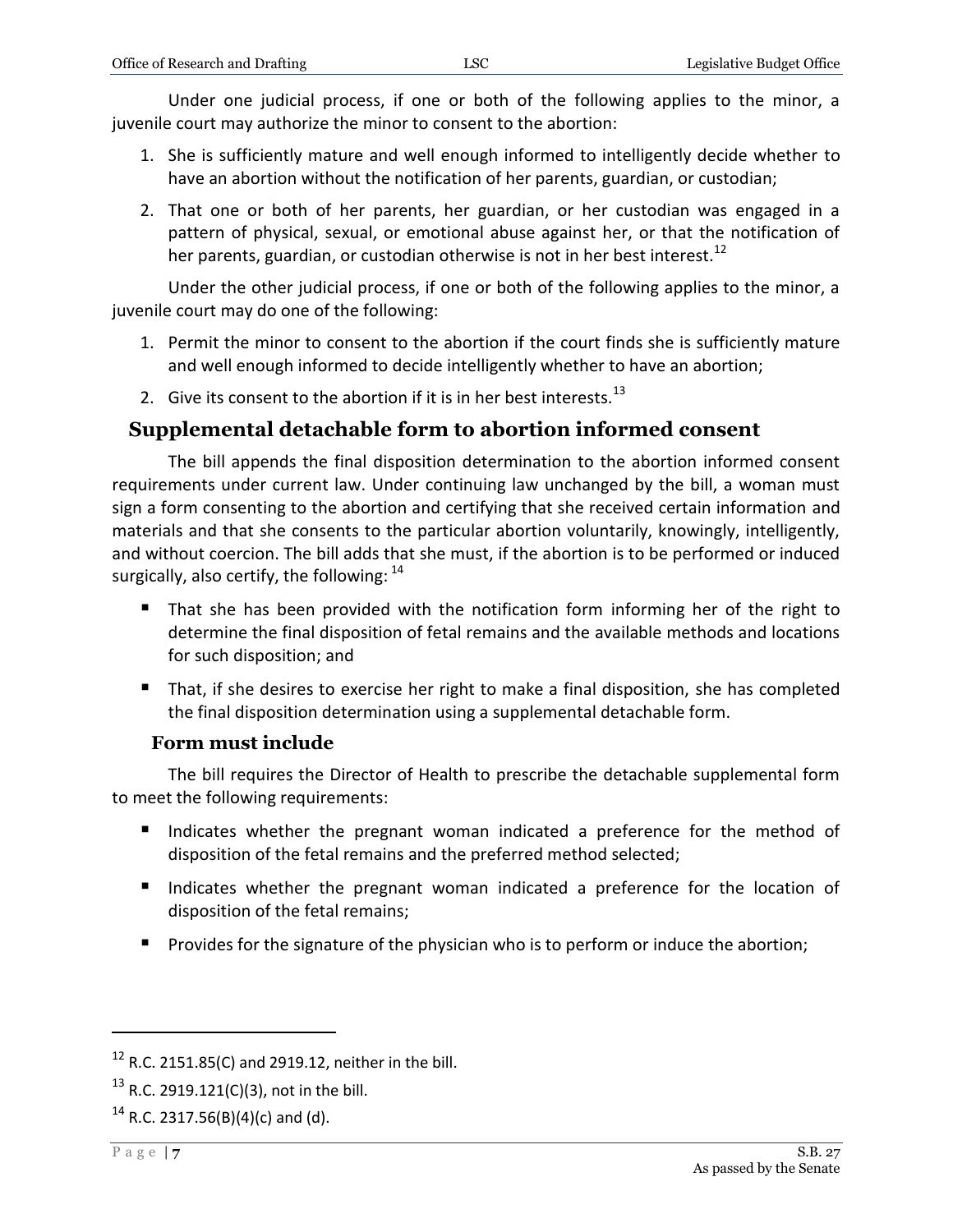Under one judicial process, if one or both of the following applies to the minor, a juvenile court may authorize the minor to consent to the abortion:

- 1. She is sufficiently mature and well enough informed to intelligently decide whether to have an abortion without the notification of her parents, guardian, or custodian;
- 2. That one or both of her parents, her guardian, or her custodian was engaged in a pattern of physical, sexual, or emotional abuse against her, or that the notification of her parents, guardian, or custodian otherwise is not in her best interest.<sup>12</sup>

Under the other judicial process, if one or both of the following applies to the minor, a juvenile court may do one of the following:

- 1. Permit the minor to consent to the abortion if the court finds she is sufficiently mature and well enough informed to decide intelligently whether to have an abortion;
- 2. Give its consent to the abortion if it is in her best interests.<sup>13</sup>

#### <span id="page-6-0"></span>**Supplemental detachable form to abortion informed consent**

The bill appends the final disposition determination to the abortion informed consent requirements under current law. Under continuing law unchanged by the bill, a woman must sign a form consenting to the abortion and certifying that she received certain information and materials and that she consents to the particular abortion voluntarily, knowingly, intelligently, and without coercion. The bill adds that she must, if the abortion is to be performed or induced surgically, also certify, the following:  $14$ 

- That she has been provided with the notification form informing her of the right to determine the final disposition of fetal remains and the available methods and locations for such disposition; and
- That, if she desires to exercise her right to make a final disposition, she has completed the final disposition determination using a supplemental detachable form.

#### **Form must include**

<span id="page-6-1"></span>The bill requires the Director of Health to prescribe the detachable supplemental form to meet the following requirements:

- Indicates whether the pregnant woman indicated a preference for the method of disposition of the fetal remains and the preferred method selected;
- Indicates whether the pregnant woman indicated a preference for the location of disposition of the fetal remains;
- **Provides for the signature of the physician who is to perform or induce the abortion;**

 $12$  R.C. 2151.85(C) and 2919.12, neither in the bill.

<sup>&</sup>lt;sup>13</sup> R.C. 2919.121(C)(3), not in the bill.

<sup>&</sup>lt;sup>14</sup> R.C. 2317.56(B)(4)(c) and (d).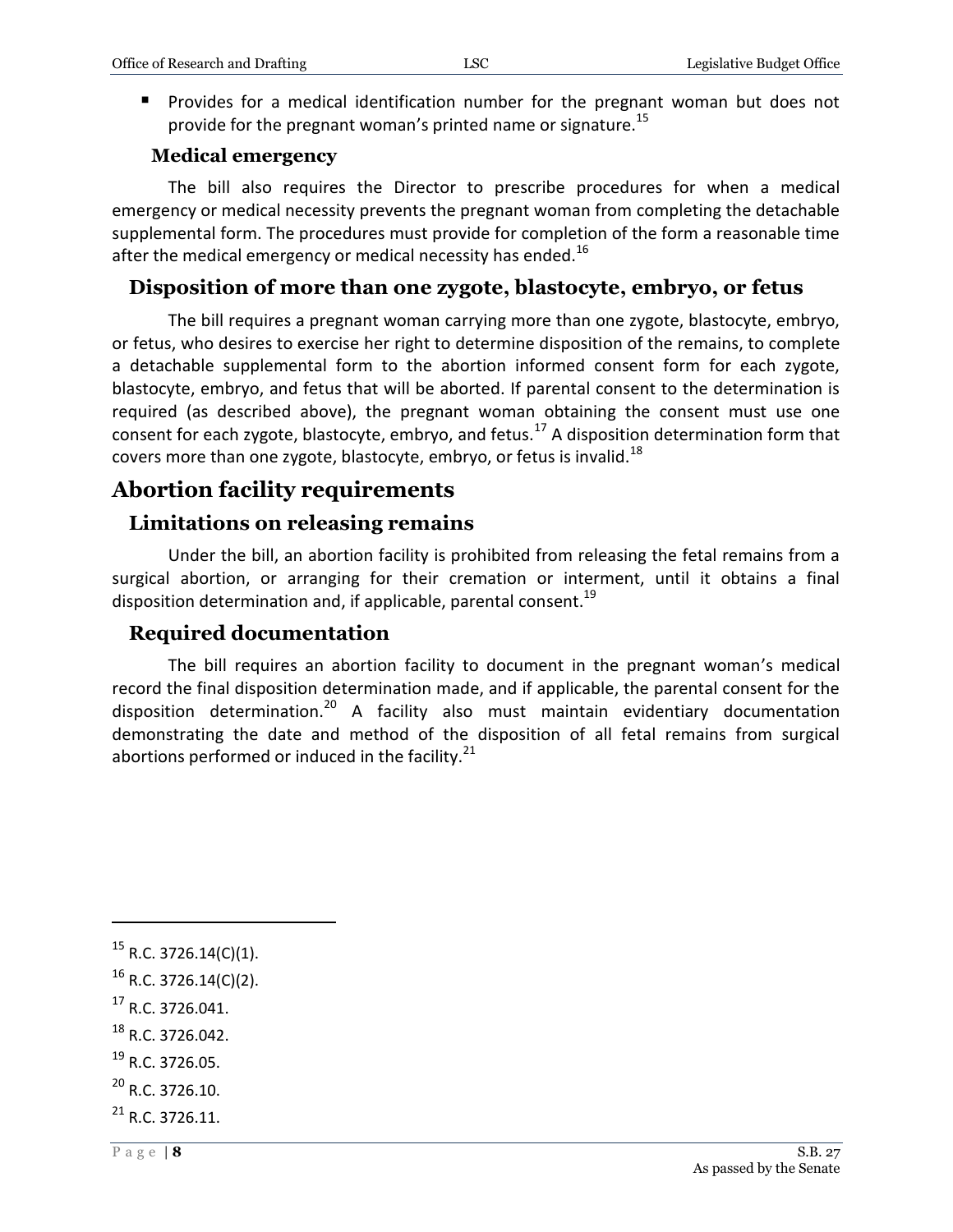**Provides for a medical identification number for the pregnant woman but does not** provide for the pregnant woman's printed name or signature.<sup>15</sup>

#### **Medical emergency**

<span id="page-7-0"></span>The bill also requires the Director to prescribe procedures for when a medical emergency or medical necessity prevents the pregnant woman from completing the detachable supplemental form. The procedures must provide for completion of the form a reasonable time after the medical emergency or medical necessity has ended.<sup>16</sup>

#### <span id="page-7-1"></span>**Disposition of more than one zygote, blastocyte, embryo, or fetus**

The bill requires a pregnant woman carrying more than one zygote, blastocyte, embryo, or fetus, who desires to exercise her right to determine disposition of the remains, to complete a detachable supplemental form to the abortion informed consent form for each zygote, blastocyte, embryo, and fetus that will be aborted. If parental consent to the determination is required (as described above), the pregnant woman obtaining the consent must use one consent for each zygote, blastocyte, embryo, and fetus.<sup>17</sup> A disposition determination form that covers more than one zygote, blastocyte, embryo, or fetus is invalid.<sup>18</sup>

## <span id="page-7-2"></span>**Abortion facility requirements**

#### <span id="page-7-3"></span>**Limitations on releasing remains**

Under the bill, an abortion facility is prohibited from releasing the fetal remains from a surgical abortion, or arranging for their cremation or interment, until it obtains a final disposition determination and, if applicable, parental consent.<sup>19</sup>

#### <span id="page-7-4"></span>**Required documentation**

The bill requires an abortion facility to document in the pregnant woman's medical record the final disposition determination made, and if applicable, the parental consent for the disposition determination.<sup>20</sup> A facility also must maintain evidentiary documentation demonstrating the date and method of the disposition of all fetal remains from surgical abortions performed or induced in the facility.<sup>21</sup>

 $17$  R.C. 3726.041.

- $^{18}$  R.C. 3726.042.
- <sup>19</sup> R.C. 3726.05.
- $^{20}$  R.C. 3726.10.
- $^{21}$  R.C. 3726.11.

 $15$  R.C. 3726.14(C)(1).

 $16$  R.C. 3726.14(C)(2).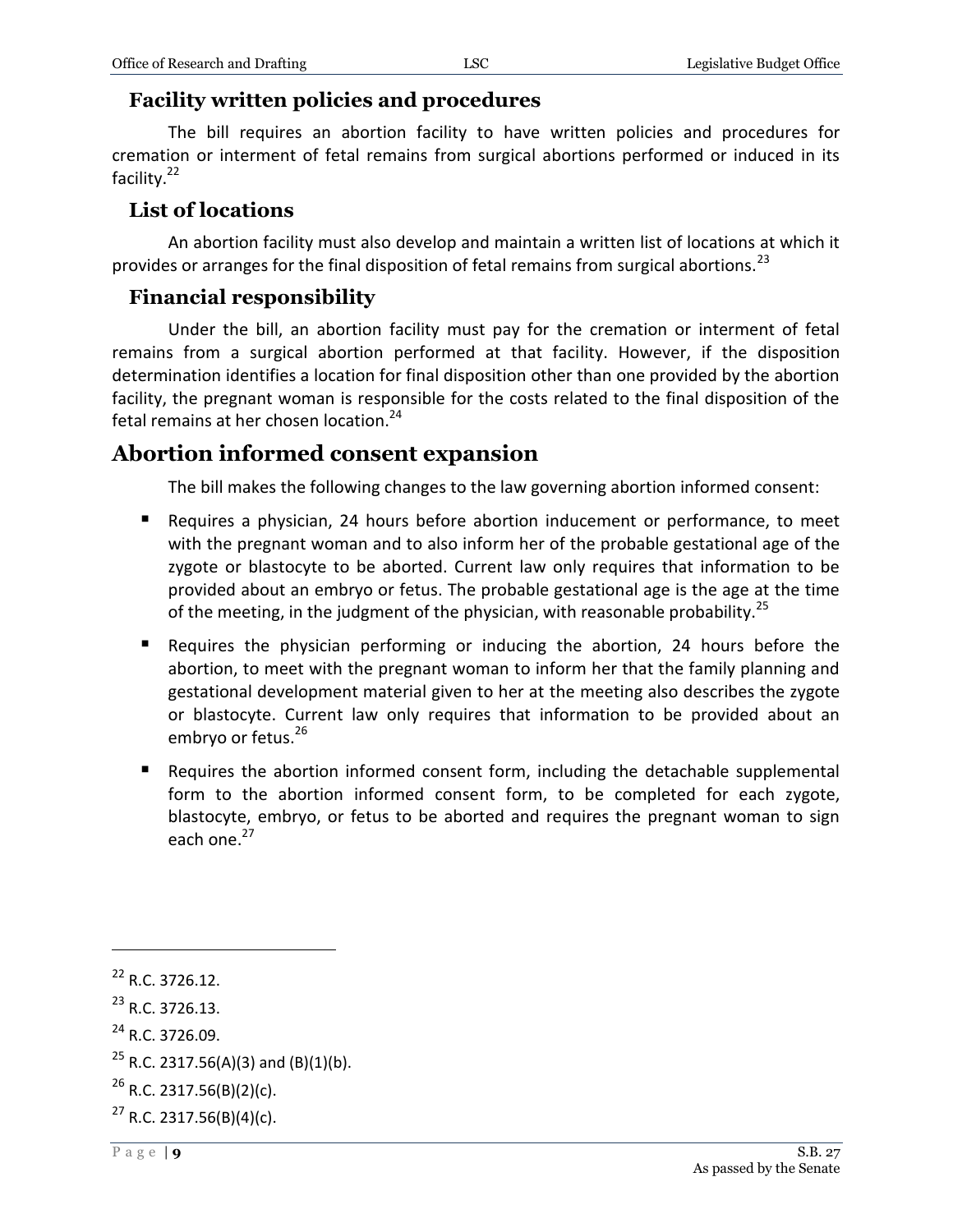#### <span id="page-8-0"></span>**Facility written policies and procedures**

The bill requires an abortion facility to have written policies and procedures for cremation or interment of fetal remains from surgical abortions performed or induced in its facility.<sup>22</sup>

#### <span id="page-8-1"></span>**List of locations**

An abortion facility must also develop and maintain a written list of locations at which it provides or arranges for the final disposition of fetal remains from surgical abortions.<sup>23</sup>

#### <span id="page-8-2"></span>**Financial responsibility**

Under the bill, an abortion facility must pay for the cremation or interment of fetal remains from a surgical abortion performed at that facility. However, if the disposition determination identifies a location for final disposition other than one provided by the abortion facility, the pregnant woman is responsible for the costs related to the final disposition of the fetal remains at her chosen location.<sup>24</sup>

## <span id="page-8-3"></span>**Abortion informed consent expansion**

The bill makes the following changes to the law governing abortion informed consent:

- Requires a physician, 24 hours before abortion inducement or performance, to meet with the pregnant woman and to also inform her of the probable gestational age of the zygote or blastocyte to be aborted. Current law only requires that information to be provided about an embryo or fetus. The probable gestational age is the age at the time of the meeting, in the judgment of the physician, with reasonable probability.<sup>25</sup>
- Requires the physician performing or inducing the abortion, 24 hours before the abortion, to meet with the pregnant woman to inform her that the family planning and gestational development material given to her at the meeting also describes the zygote or blastocyte. Current law only requires that information to be provided about an embryo or fetus.<sup>26</sup>
- Requires the abortion informed consent form, including the detachable supplemental form to the abortion informed consent form, to be completed for each zygote, blastocyte, embryo, or fetus to be aborted and requires the pregnant woman to sign each one.<sup>27</sup>

<sup>22</sup> R.C. 3726.12.

 $^{23}$  R.C. 3726.13.

<sup>&</sup>lt;sup>24</sup> R.C. 3726.09.

<sup>&</sup>lt;sup>25</sup> R.C. 2317.56(A)(3) and (B)(1)(b).

 $^{26}$  R.C. 2317.56(B)(2)(c).

 $27$  R.C. 2317.56(B)(4)(c).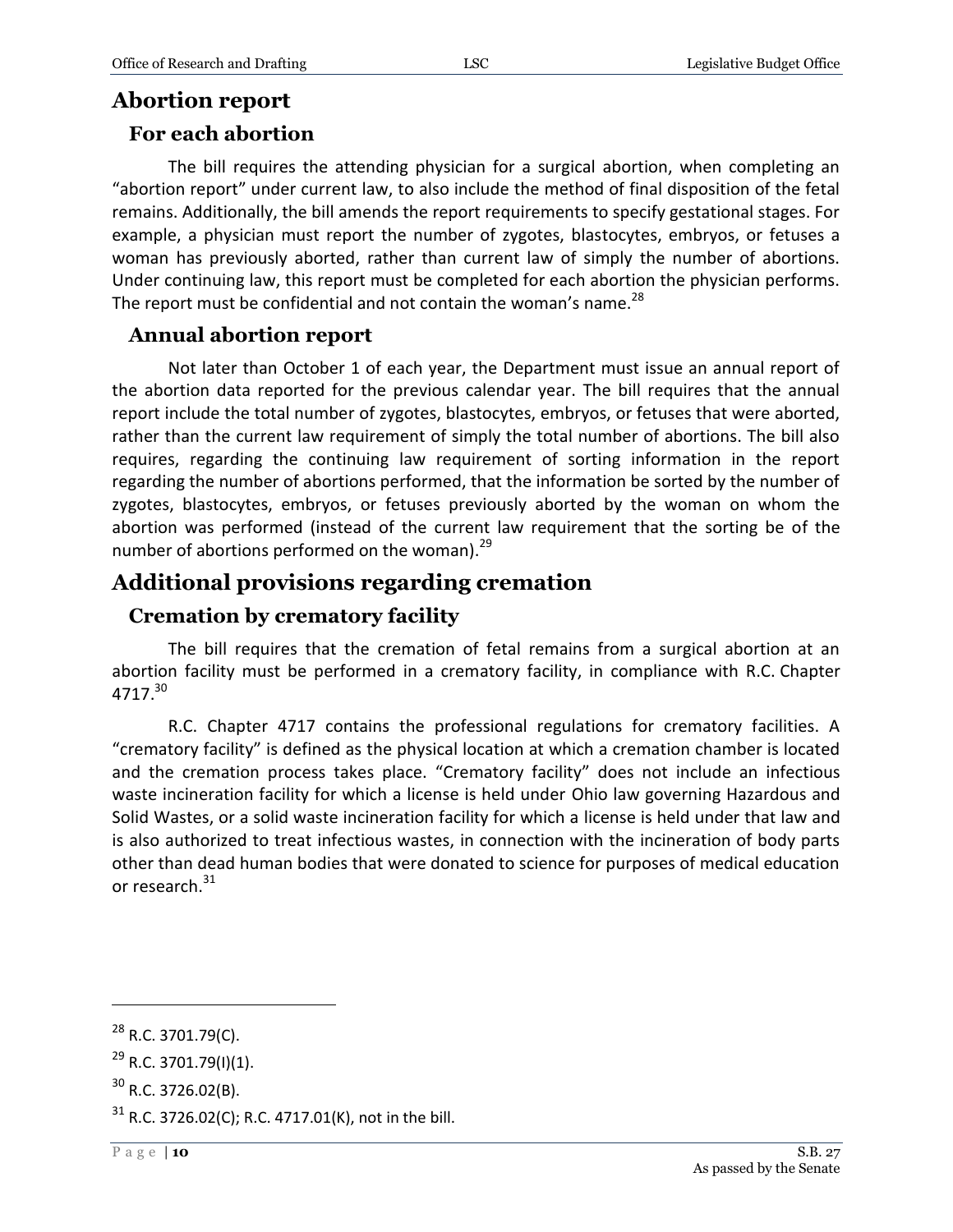## <span id="page-9-0"></span>**Abortion report**

#### <span id="page-9-1"></span>**For each abortion**

The bill requires the attending physician for a surgical abortion, when completing an "abortion report" under current law, to also include the method of final disposition of the fetal remains. Additionally, the bill amends the report requirements to specify gestational stages. For example, a physician must report the number of zygotes, blastocytes, embryos, or fetuses a woman has previously aborted, rather than current law of simply the number of abortions. Under continuing law, this report must be completed for each abortion the physician performs. The report must be confidential and not contain the woman's name. $^{28}$ 

#### <span id="page-9-2"></span>**Annual abortion report**

Not later than October 1 of each year, the Department must issue an annual report of the abortion data reported for the previous calendar year. The bill requires that the annual report include the total number of zygotes, blastocytes, embryos, or fetuses that were aborted, rather than the current law requirement of simply the total number of abortions. The bill also requires, regarding the continuing law requirement of sorting information in the report regarding the number of abortions performed, that the information be sorted by the number of zygotes, blastocytes, embryos, or fetuses previously aborted by the woman on whom the abortion was performed (instead of the current law requirement that the sorting be of the number of abortions performed on the woman).<sup>29</sup>

## <span id="page-9-3"></span>**Additional provisions regarding cremation**

### <span id="page-9-4"></span>**Cremation by crematory facility**

The bill requires that the cremation of fetal remains from a surgical abortion at an abortion facility must be performed in a crematory facility, in compliance with R.C. Chapter 4717.<sup>30</sup>

R.C. Chapter 4717 contains the professional regulations for crematory facilities. A "crematory facility" is defined as the physical location at which a cremation chamber is located and the cremation process takes place. "Crematory facility" does not include an infectious waste incineration facility for which a license is held under Ohio law governing Hazardous and Solid Wastes, or a solid waste incineration facility for which a license is held under that law and is also authorized to treat infectious wastes, in connection with the incineration of body parts other than dead human bodies that were donated to science for purposes of medical education or research.<sup>31</sup>

 $^{28}$  R.C. 3701.79(C).

 $^{29}$  R.C. 3701.79(I)(1).

 $30$  R.C. 3726.02(B).

 $31$  R.C. 3726.02(C); R.C. 4717.01(K), not in the bill.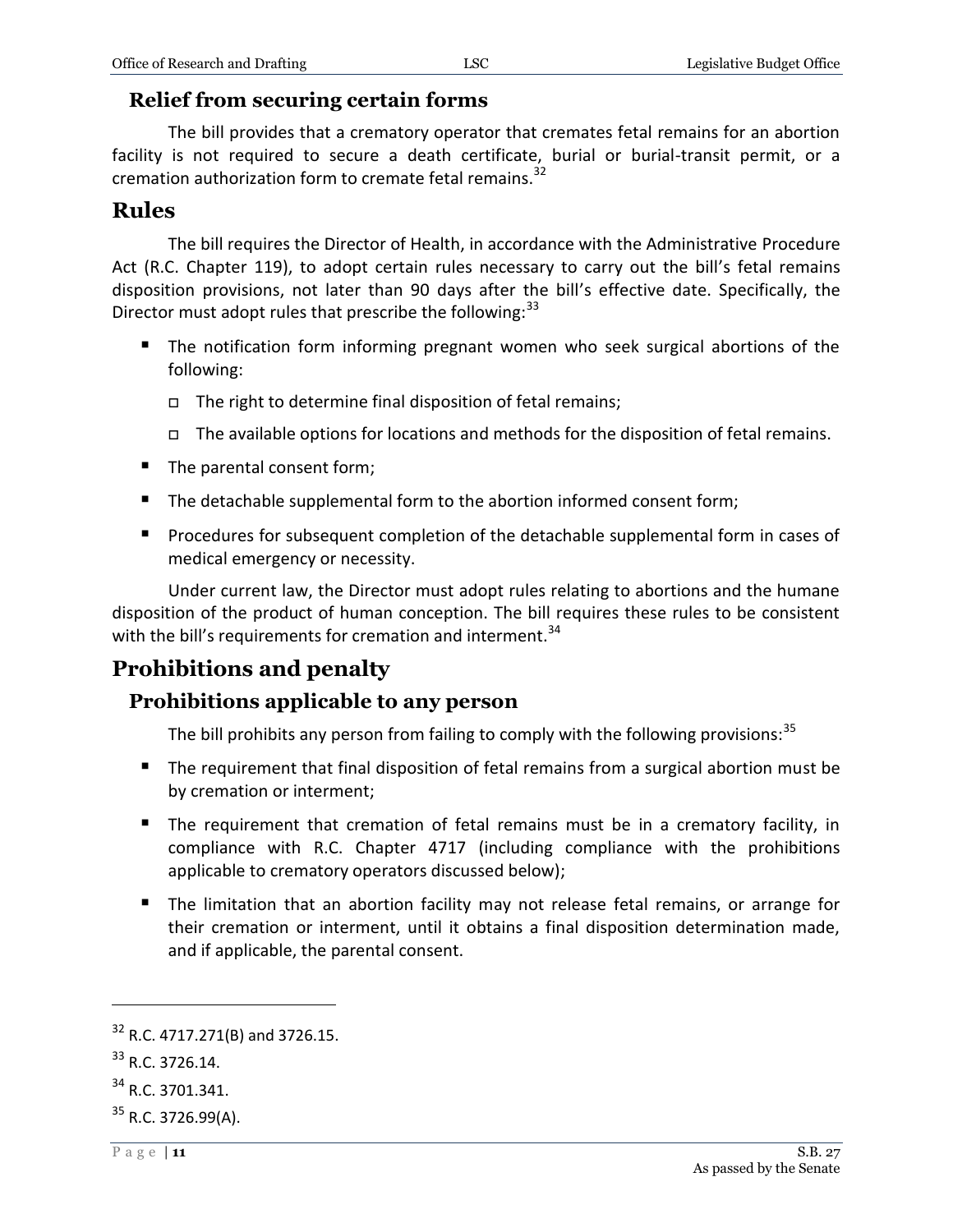#### <span id="page-10-0"></span>**Relief from securing certain forms**

The bill provides that a crematory operator that cremates fetal remains for an abortion facility is not required to secure a death certificate, burial or burial-transit permit, or a cremation authorization form to cremate fetal remains.<sup>32</sup>

#### <span id="page-10-1"></span>**Rules**

The bill requires the Director of Health, in accordance with the Administrative Procedure Act (R.C. Chapter 119), to adopt certain rules necessary to carry out the bill's fetal remains disposition provisions, not later than 90 days after the bill's effective date. Specifically, the Director must adopt rules that prescribe the following:<sup>33</sup>

- **The notification form informing pregnant women who seek surgical abortions of the** following:
	- $\Box$  The right to determine final disposition of fetal remains;
	- $\Box$  The available options for locations and methods for the disposition of fetal remains.
- The parental consent form;
- The detachable supplemental form to the abortion informed consent form;
- **Procedures for subsequent completion of the detachable supplemental form in cases of** medical emergency or necessity.

Under current law, the Director must adopt rules relating to abortions and the humane disposition of the product of human conception. The bill requires these rules to be consistent with the bill's requirements for cremation and interment.<sup>34</sup>

## <span id="page-10-2"></span>**Prohibitions and penalty**

#### <span id="page-10-3"></span>**Prohibitions applicable to any person**

The bill prohibits any person from failing to comply with the following provisions:  $35$ 

- The requirement that final disposition of fetal remains from a surgical abortion must be by cremation or interment;
- The requirement that cremation of fetal remains must be in a crematory facility, in compliance with R.C. Chapter 4717 (including compliance with the prohibitions applicable to crematory operators discussed below);
- The limitation that an abortion facility may not release fetal remains, or arrange for their cremation or interment, until it obtains a final disposition determination made, and if applicable, the parental consent.

 $32$  R.C. 4717.271(B) and 3726.15.

<sup>33</sup> R.C. 3726.14.

<sup>34</sup> R.C. 3701.341.

 $35$  R.C. 3726.99(A).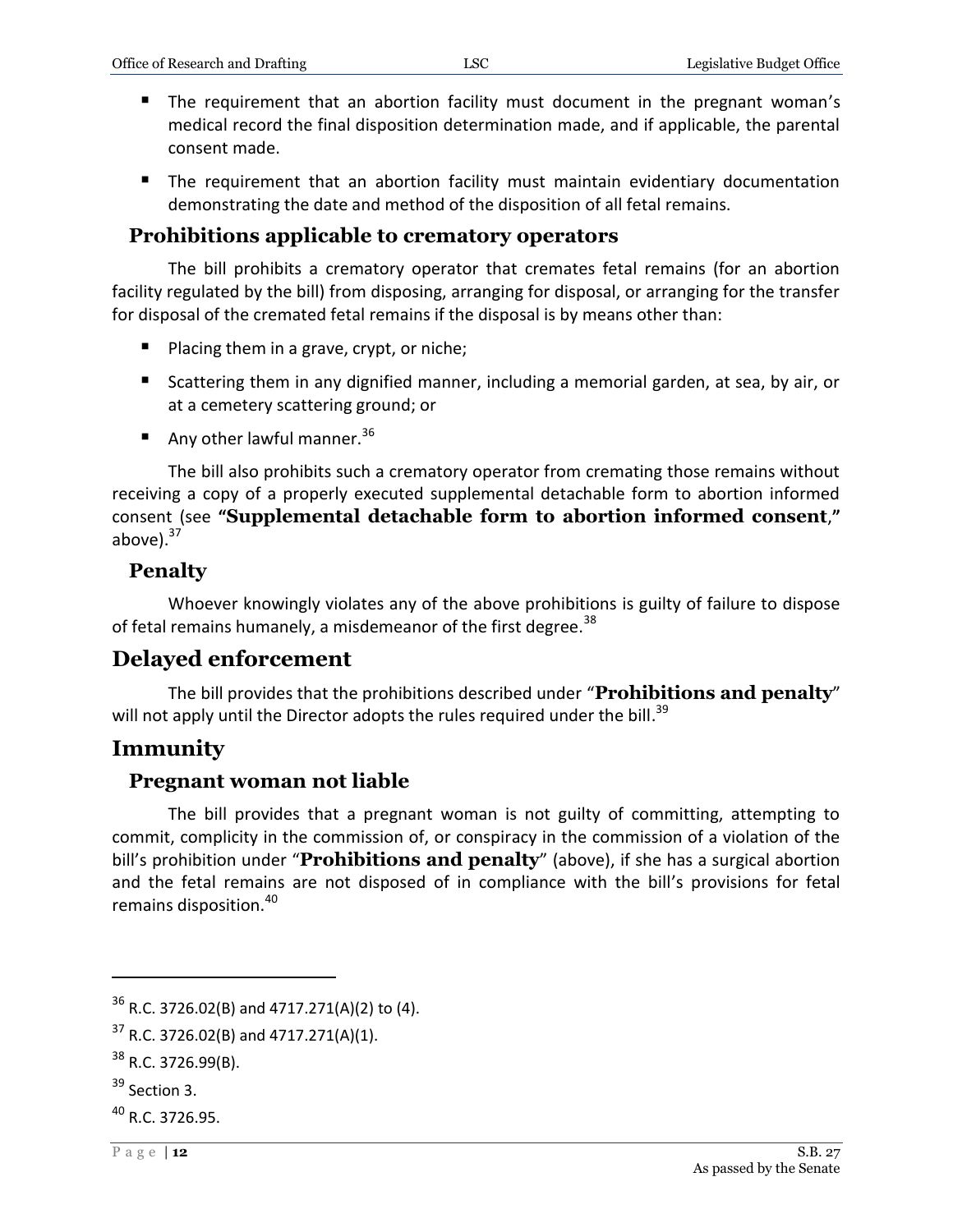- The requirement that an abortion facility must document in the pregnant woman's medical record the final disposition determination made, and if applicable, the parental consent made.
- The requirement that an abortion facility must maintain evidentiary documentation demonstrating the date and method of the disposition of all fetal remains.

## <span id="page-11-0"></span>**Prohibitions applicable to crematory operators**

The bill prohibits a crematory operator that cremates fetal remains (for an abortion facility regulated by the bill) from disposing, arranging for disposal, or arranging for the transfer for disposal of the cremated fetal remains if the disposal is by means other than:

- **Placing them in a grave, crypt, or niche;**
- Scattering them in any dignified manner, including a memorial garden, at sea, by air, or at a cemetery scattering ground; or
- Any other lawful manner.  $36$

The bill also prohibits such a crematory operator from cremating those remains without receiving a copy of a properly executed supplemental detachable form to abortion informed consent (see **"Supplemental detachable form to abortion informed consent**,**"** above). $37$ 

#### <span id="page-11-1"></span>**Penalty**

Whoever knowingly violates any of the above prohibitions is guilty of failure to dispose of fetal remains humanely, a misdemeanor of the first degree.<sup>38</sup>

## <span id="page-11-2"></span>**Delayed enforcement**

The bill provides that the prohibitions described under "**Prohibitions and penalty**" will not apply until the Director adopts the rules required under the bill.<sup>39</sup>

## <span id="page-11-3"></span>**Immunity**

### <span id="page-11-4"></span>**Pregnant woman not liable**

The bill provides that a pregnant woman is not guilty of committing, attempting to commit, complicity in the commission of, or conspiracy in the commission of a violation of the bill's prohibition under "**Prohibitions and penalty**" (above), if she has a surgical abortion and the fetal remains are not disposed of in compliance with the bill's provisions for fetal remains disposition.<sup>40</sup>

 $36$  R.C. 3726.02(B) and 4717.271(A)(2) to (4).

 $37$  R.C. 3726.02(B) and 4717.271(A)(1).

 $38$  R.C. 3726.99(B).

<sup>&</sup>lt;sup>39</sup> Section 3.

 $^{40}$  R.C. 3726.95.